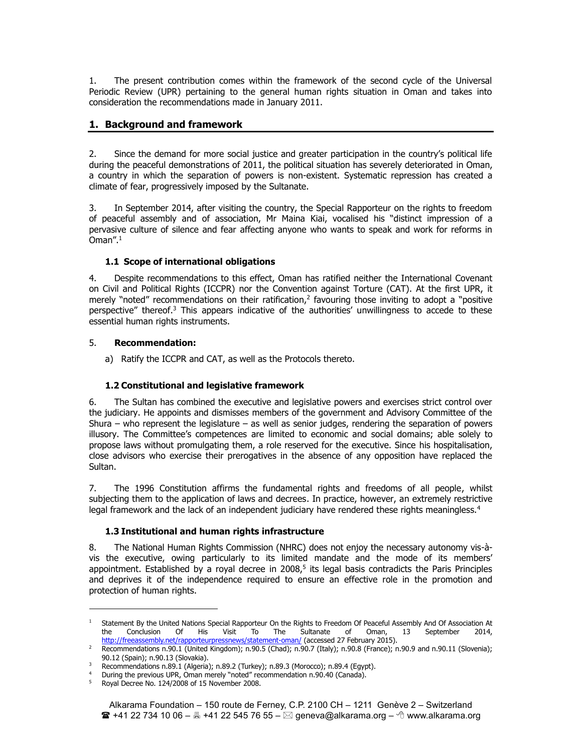1. The present contribution comes within the framework of the second cycle of the Universal Periodic Review (UPR) pertaining to the general human rights situation in Oman and takes into consideration the recommendations made in January 2011.

# **1. Background and framework**

2. Since the demand for more social justice and greater participation in the country's political life during the peaceful demonstrations of 2011, the political situation has severely deteriorated in Oman, a country in which the separation of powers is non-existent. Systematic repression has created a climate of fear, progressively imposed by the Sultanate.

3. In September 2014, after visiting the country, the Special Rapporteur on the rights to freedom of peaceful assembly and of association, Mr Maina Kiai, vocalised his "distinct impression of a pervasive culture of silence and fear affecting anyone who wants to speak and work for reforms in Oman". $1$ 

# **1.1 Scope of international obligations**

4. Despite recommendations to this effect, Oman has ratified neither the International Covenant on Civil and Political Rights (ICCPR) nor the Convention against Torture (CAT). At the first UPR, it merely "noted" recommendations on their ratification, $2$  favouring those inviting to adopt a "positive perspective" thereof.<sup>3</sup> This appears indicative of the authorities' unwillingness to accede to these essential human rights instruments.

## 5. **Recommendation:**

a) Ratify the ICCPR and CAT, as well as the Protocols thereto.

# **1.2 Constitutional and legislative framework**

6. The Sultan has combined the executive and legislative powers and exercises strict control over the judiciary. He appoints and dismisses members of the government and Advisory Committee of the Shura – who represent the legislature – as well as senior judges, rendering the separation of powers illusory. The Committee's competences are limited to economic and social domains; able solely to propose laws without promulgating them, a role reserved for the executive. Since his hospitalisation, close advisors who exercise their prerogatives in the absence of any opposition have replaced the Sultan.

7. The 1996 Constitution affirms the fundamental rights and freedoms of all people, whilst subjecting them to the application of laws and decrees. In practice, however, an extremely restrictive legal framework and the lack of an independent judiciary have rendered these rights meaningless.<sup>4</sup>

# **1.3 Institutional and human rights infrastructure**

8. The National Human Rights Commission (NHRC) does not enjoy the necessary autonomy vis-àvis the executive, owing particularly to its limited mandate and the mode of its members' appointment. Established by a royal decree in  $2008<sub>5</sub>$  its legal basis contradicts the Paris Principles and deprives it of the independence required to ensure an effective role in the promotion and protection of human rights.

1

<sup>1</sup> Statement By the United Nations Special Rapporteur On the Rights to Freedom Of Peaceful Assembly And Of Association At the Conclusion Of His Visit To The Sultanate of Oman, 13 September 2014, http://freeassembly.net/rapporteurpressnews/statement-oman/ (accessed 27 February 2015).

<sup>2</sup> Recommendations n.90.1 (United Kingdom); n.90.5 (Chad); n.90.7 (Italy); n.90.8 (France); n.90.9 and n.90.11 (Slovenia); 90.12 (Spain); n.90.13 (Slovakia).

<sup>3</sup> Recommendations n.89.1 (Algeria); n.89.2 (Turkey); n.89.3 (Morocco); n.89.4 (Egypt).

<sup>&</sup>lt;sup>4</sup> During the previous UPR, Oman merely "noted" recommendation n.90.40 (Canada).

<sup>&</sup>lt;sup>5</sup> Royal Decree No. 124/2008 of 15 November 2008.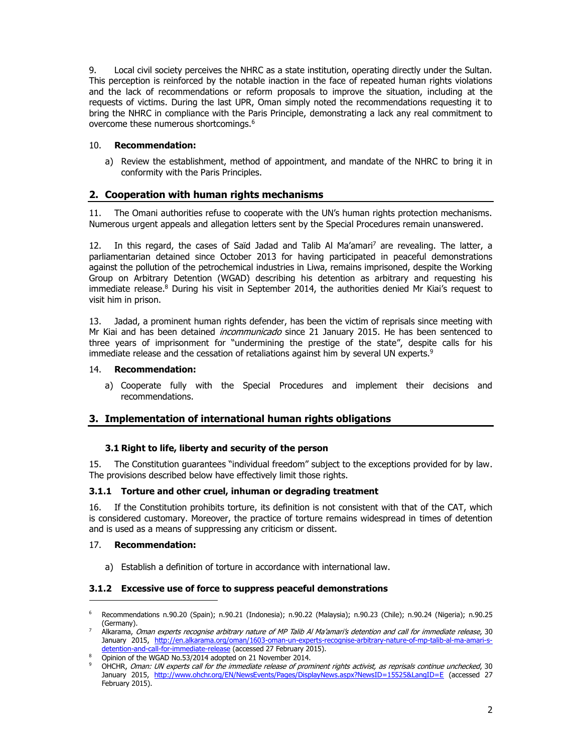9. Local civil society perceives the NHRC as a state institution, operating directly under the Sultan. This perception is reinforced by the notable inaction in the face of repeated human rights violations and the lack of recommendations or reform proposals to improve the situation, including at the requests of victims. During the last UPR, Oman simply noted the recommendations requesting it to bring the NHRC in compliance with the Paris Principle, demonstrating a lack any real commitment to overcome these numerous shortcomings.6

## 10. **Recommendation:**

a) Review the establishment, method of appointment, and mandate of the NHRC to bring it in conformity with the Paris Principles.

# **2. Cooperation with human rights mechanisms**

11. The Omani authorities refuse to cooperate with the UN's human rights protection mechanisms. Numerous urgent appeals and allegation letters sent by the Special Procedures remain unanswered.

12. In this regard, the cases of Saïd Jadad and Talib Al Ma'amari<sup>7</sup> are revealing. The latter, a parliamentarian detained since October 2013 for having participated in peaceful demonstrations against the pollution of the petrochemical industries in Liwa, remains imprisoned, despite the Working Group on Arbitrary Detention (WGAD) describing his detention as arbitrary and requesting his immediate release.<sup>8</sup> During his visit in September 2014, the authorities denied Mr Kiai's request to visit him in prison.

13. Jadad, a prominent human rights defender, has been the victim of reprisals since meeting with Mr Kiai and has been detained *incommunicado* since 21 January 2015. He has been sentenced to three years of imprisonment for "undermining the prestige of the state", despite calls for his immediate release and the cessation of retaliations against him by several UN experts.<sup>9</sup>

### 14. **Recommendation:**

a) Cooperate fully with the Special Procedures and implement their decisions and recommendations.

# **3. Implementation of international human rights obligations**

### **3.1 Right to life, liberty and security of the person**

15. The Constitution guarantees "individual freedom" subject to the exceptions provided for by law. The provisions described below have effectively limit those rights.

### **3.1.1 Torture and other cruel, inhuman or degrading treatment**

16. If the Constitution prohibits torture, its definition is not consistent with that of the CAT, which is considered customary. Moreover, the practice of torture remains widespread in times of detention and is used as a means of suppressing any criticism or dissent.

### 17. **Recommendation:**

1

a) Establish a definition of torture in accordance with international law.

#### **3.1.2 Excessive use of force to suppress peaceful demonstrations**

<sup>6</sup> Recommendations n.90.20 (Spain); n.90.21 (Indonesia); n.90.22 (Malaysia); n.90.23 (Chile); n.90.24 (Nigeria); n.90.25 (Germany).<br>Alkarama, *Oman experts recognise arbitrary nature of MP Talib Al Ma'amari's detention and call for immediate release*, 30

January 2015, http://en.alkarama.org/oman/1603-oman-un-experts-recognise-arbitrary-nature-of-mp-talib-al-ma-amari-sdetention-and-call-for-immediate-release (accessed 27 February 2015).

<sup>8</sup> Opinion of the WGAD No.53/2014 adopted on 21 November 2014.<br>9 Opinion of the WGAD No.53/2014 adopted on 21 November 2014.<br>9 OHCHR, *Oman: UN experts call for the immediate release of prominent rights activist, as reprisa* January 2015, http://www.ohchr.org/EN/NewsEvents/Pages/DisplayNews.aspx?NewsID=15525&LangID=E (accessed 27 February 2015).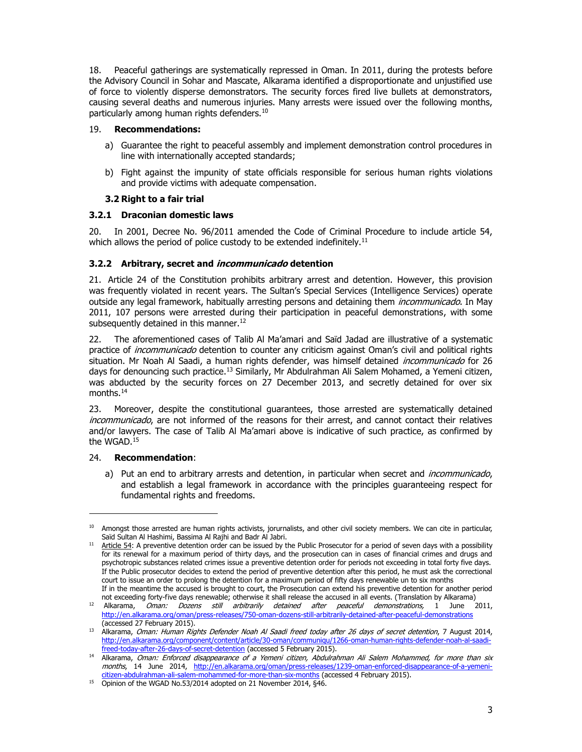18. Peaceful gatherings are systematically repressed in Oman. In 2011, during the protests before the Advisory Council in Sohar and Mascate, Alkarama identified a disproportionate and unjustified use of force to violently disperse demonstrators. The security forces fired live bullets at demonstrators, causing several deaths and numerous injuries. Many arrests were issued over the following months, particularly among human rights defenders.<sup>10</sup>

### 19. **Recommendations:**

- a) Guarantee the right to peaceful assembly and implement demonstration control procedures in line with internationally accepted standards;
- b) Fight against the impunity of state officials responsible for serious human rights violations and provide victims with adequate compensation.

## **3.2 Right to a fair trial**

## **3.2.1 Draconian domestic laws**

20. In 2001, Decree No. 96/2011 amended the Code of Criminal Procedure to include article 54, which allows the period of police custody to be extended indefinitely.<sup>11</sup>

# **3.2.2 Arbitrary, secret and incommunicado detention**

21. Article 24 of the Constitution prohibits arbitrary arrest and detention. However, this provision was frequently violated in recent years. The Sultan's Special Services (Intelligence Services) operate outside any legal framework, habitually arresting persons and detaining them *incommunicado*. In May 2011, 107 persons were arrested during their participation in peaceful demonstrations, with some subsequently detained in this manner.<sup>12</sup>

22. The aforementioned cases of Talib Al Ma'amari and Saïd Jadad are illustrative of a systematic practice of *incommunicado* detention to counter any criticism against Oman's civil and political rights situation. Mr Noah Al Saadi, a human rights defender, was himself detained *incommunicado* for 26 days for denouncing such practice.<sup>13</sup> Similarly, Mr Abdulrahman Ali Salem Mohamed, a Yemeni citizen, was abducted by the security forces on 27 December 2013, and secretly detained for over six months.14

23. Moreover, despite the constitutional guarantees, those arrested are systematically detained incommunicado, are not informed of the reasons for their arrest, and cannot contact their relatives and/or lawyers. The case of Talib Al Ma'amari above is indicative of such practice, as confirmed by the WGAD.15

### 24. **Recommendation**:

-

a) Put an end to arbitrary arrests and detention, in particular when secret and *incommunicado*, and establish a legal framework in accordance with the principles guaranteeing respect for fundamental rights and freedoms.

<sup>&</sup>lt;sup>10</sup> Amongst those arrested are human rights activists, jorurnalists, and other civil society members. We can cite in particular, Saïd Sultan Al Hashimi, Bassima Al Rajhi and Badr Al Jabri.

<sup>&</sup>lt;sup>11</sup> Article 54: A preventive detention order can be issued by the Public Prosecutor for a period of seven days with a possibility for its renewal for a maximum period of thirty days, and the prosecution can in cases of financial crimes and drugs and psychotropic substances related crimes issue a preventive detention order for periods not exceeding in total forty five days. If the Public prosecutor decides to extend the period of preventive detention after this period, he must ask the correctional court to issue an order to prolong the detention for a maximum period of fifty days renewable un to six months If in the meantime the accused is brought to court, the Prosecution can extend his preventive detention for another period

not exceeding forty-five days renewable; otherwise it shall release the accused in all events. (Translation by Alkarama)

<sup>12</sup> Alkarama, Oman: Dozens still arbitrarily detained after peaceful demonstrations, 1 June 2011, http://en.alkarama.org/oman/press-releases/750-oman-dozens-still-arbitrarily-detained-after-peaceful-demonstrations (accessed 27 February 2015).

<sup>13</sup> Alkarama, Oman: Human Rights Defender Noah Al Saadi freed today after 26 days of secret detention, 7 August 2014, http://en.alkarama.org/component/content/article/30-oman/communiqu/1266-oman-human-rights-defender-noah-al-saadi-

freed-today-after-26-days-of-secret-detention (accessed 5 February 2015).<br><sup>14</sup> Alkarama, *Oman: Enforced disappearance of a Yemeni citizen, Abdulrahman Ali Salem Mohammed, for more than six* months, 14 June 2014, http://en.alkarama.org/oman/press-releases/1239-oman-enforced-disappearance-of-a-yemeni-<br>citizen-abdulrahman-ali-salem-mohammed-for-more-than-six-months (accessed 4 February 2015).

<sup>&</sup>lt;sup>15</sup> Opinion of the WGAD No.53/2014 adopted on 21 November 2014, §46.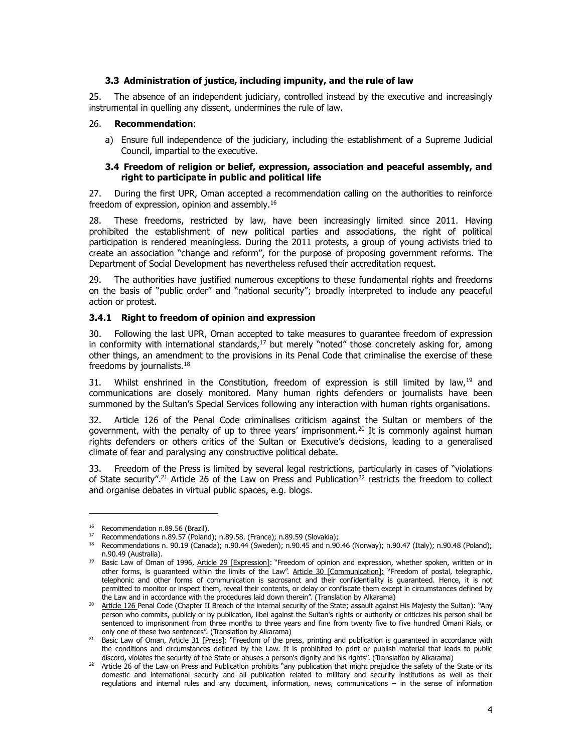### **3.3 Administration of justice, including impunity, and the rule of law**

25. The absence of an independent judiciary, controlled instead by the executive and increasingly instrumental in quelling any dissent, undermines the rule of law.

#### 26. **Recommendation**:

a) Ensure full independence of the judiciary, including the establishment of a Supreme Judicial Council, impartial to the executive.

#### **3.4 Freedom of religion or belief, expression, association and peaceful assembly, and right to participate in public and political life**

27. During the first UPR, Oman accepted a recommendation calling on the authorities to reinforce freedom of expression, opinion and assembly.16

28. These freedoms, restricted by law, have been increasingly limited since 2011. Having prohibited the establishment of new political parties and associations, the right of political participation is rendered meaningless. During the 2011 protests, a group of young activists tried to create an association "change and reform", for the purpose of proposing government reforms. The Department of Social Development has nevertheless refused their accreditation request.

The authorities have justified numerous exceptions to these fundamental rights and freedoms on the basis of "public order" and "national security"; broadly interpreted to include any peaceful action or protest.

#### **3.4.1 Right to freedom of opinion and expression**

30. Following the last UPR, Oman accepted to take measures to guarantee freedom of expression in conformity with international standards, $17$  but merely "noted" those concretely asking for, among other things, an amendment to the provisions in its Penal Code that criminalise the exercise of these freedoms by journalists.18

31. Whilst enshrined in the Constitution, freedom of expression is still limited by law,  $19$  and communications are closely monitored. Many human rights defenders or journalists have been summoned by the Sultan's Special Services following any interaction with human rights organisations.

32. Article 126 of the Penal Code criminalises criticism against the Sultan or members of the government, with the penalty of up to three years' imprisonment.<sup>20</sup> It is commonly against human rights defenders or others critics of the Sultan or Executive's decisions, leading to a generalised climate of fear and paralysing any constructive political debate.

33. Freedom of the Press is limited by several legal restrictions, particularly in cases of "violations of State security".<sup>21</sup> Article 26 of the Law on Press and Publication<sup>22</sup> restricts the freedom to collect and organise debates in virtual public spaces, e.g. blogs.

-

<sup>&</sup>lt;sup>16</sup> Recommendation n.89.56 (Brazil).<br><sup>17</sup> Recommendations n.89.57 (Poland); n.89.58. (France); n.89.59 (Slovakia);

 $18$  Recommendations n. 90.19 (Canada); n.90.44 (Sweden); n.90.45 and n.90.46 (Norway); n.90.47 (Italy); n.90.48 (Poland); n.90.49 (Australia).

<sup>&</sup>lt;sup>19</sup> Basic Law of Oman of 1996, Article 29 [Expression]: "Freedom of opinion and expression, whether spoken, written or in other forms, is guaranteed within the limits of the Law". Article 30 [Communication]: "Freedom of postal, telegraphic, telephonic and other forms of communication is sacrosanct and their confidentiality is guaranteed. Hence, it is not permitted to monitor or inspect them, reveal their contents, or delay or confiscate them except in circumstances defined by the Law and in accordance with the procedures laid down therein". (Translation by Alkarama)

<sup>20</sup> Article 126 Penal Code (Chapter II Breach of the internal security of the State; assault against His Majesty the Sultan): "Any person who commits, publicly or by publication, libel against the Sultan's rights or authority or criticizes his person shall be sentenced to imprisonment from three months to three years and fine from twenty five to five hundred Omani Rials, or only one of these two sentences". (Translation by Alkarama)

<sup>&</sup>lt;sup>21</sup> Basic Law of Oman, Article 31 [Press]: "Freedom of the press, printing and publication is guaranteed in accordance with the conditions and circumstances defined by the Law. It is prohibited to print or publish material that leads to public discord, violates the security of the State or abuses a person's dignity and his rights". (Translation by Alkarama)

<sup>&</sup>lt;sup>22</sup> Article 26 of the Law on Press and Publication prohibits "any publication that might prejudice the safety of the State or its domestic and international security and all publication related to military and security institutions as well as their regulations and internal rules and any document, information, news, communications – in the sense of information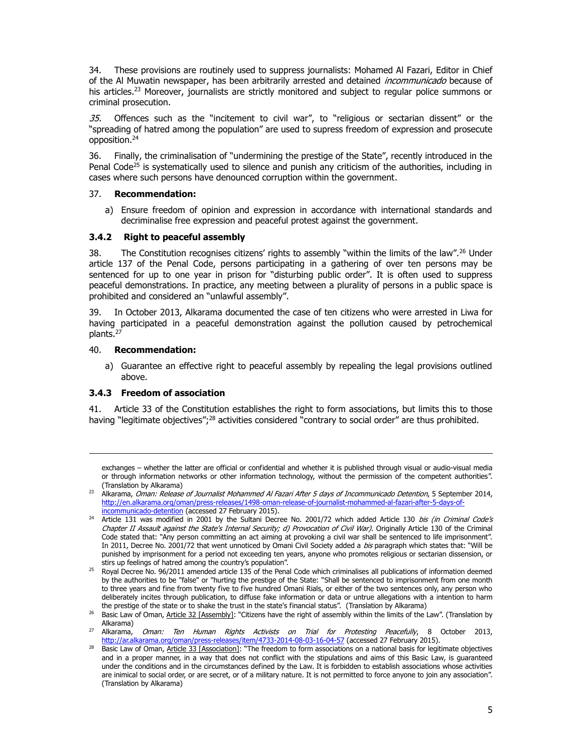34. These provisions are routinely used to suppress journalists: Mohamed Al Fazari, Editor in Chief of the Al Muwatin newspaper, has been arbitrarily arrested and detained *incommunicado* because of his articles.<sup>23</sup> Moreover, journalists are strictly monitored and subject to regular police summons or criminal prosecution.

35. Offences such as the "incitement to civil war", to "religious or sectarian dissent" or the "spreading of hatred among the population" are used to supress freedom of expression and prosecute opposition.24

36. Finally, the criminalisation of "undermining the prestige of the State", recently introduced in the Penal Code<sup>25</sup> is systematically used to silence and punish any criticism of the authorities, including in cases where such persons have denounced corruption within the government.

### 37. **Recommendation:**

a) Ensure freedom of opinion and expression in accordance with international standards and decriminalise free expression and peaceful protest against the government.

### **3.4.2 Right to peaceful assembly**

38. The Constitution recognises citizens' rights to assembly "within the limits of the law".<sup>26</sup> Under article 137 of the Penal Code, persons participating in a gathering of over ten persons may be sentenced for up to one year in prison for "disturbing public order". It is often used to suppress peaceful demonstrations. In practice, any meeting between a plurality of persons in a public space is prohibited and considered an "unlawful assembly".

39. In October 2013, Alkarama documented the case of ten citizens who were arrested in Liwa for having participated in a peaceful demonstration against the pollution caused by petrochemical plants.27

#### 40. **Recommendation:**

1

a) Guarantee an effective right to peaceful assembly by repealing the legal provisions outlined above.

### **3.4.3 Freedom of association**

41. Article 33 of the Constitution establishes the right to form associations, but limits this to those having "legitimate objectives";<sup>28</sup> activities considered "contrary to social order" are thus prohibited.

exchanges – whether the latter are official or confidential and whether it is published through visual or audio-visual media or through information networks or other information technology, without the permission of the competent authorities".

<sup>(</sup>Translation by Alkarama) 23 Alkarama, Oman: Release of Journalist Mohammed Al Fazari After 5 days of Incommunicado Detention, 5 September 2014, http://en.alkarama.org/oman/press-releases/1498-oman-release-of-journalist-mohammed-al-fazari-after-5-days-ofincommunicado-detention (accessed 27 February 2015).

<sup>&</sup>lt;sup>24</sup> Article 131 was modified in 2001 by the Sultani Decree No. 2001/72 which added Article 130 *bis (in Criminal Code's* Chapter II Assault against the State's Internal Security; d) Provocation of Civil War). Originally Article 130 of the Criminal Code stated that: "Any person committing an act aiming at provoking a civil war shall be sentenced to life imprisonment". In 2011, Decree No. 2001/72 that went unnoticed by Omani Civil Society added a bis paragraph which states that: "Will be punished by imprisonment for a period not exceeding ten years, anyone who promotes religious or sectarian dissension, or stirs up feelings of hatred among the country's population".

<sup>&</sup>lt;sup>25</sup> Royal Decree No. 96/2011 amended article 135 of the Penal Code which criminalises all publications of information deemed by the authorities to be "false" or "hurting the prestige of the State: "Shall be sentenced to imprisonment from one month to three years and fine from twenty five to five hundred Omani Rials, or either of the two sentences only, any person who deliberately incites through publication, to diffuse fake information or data or untrue allegations with a intention to harm the prestige of the state or to shake the trust in the state's financial status". (Translation by Alkarama)

<sup>&</sup>lt;sup>26</sup> Basic Law of Oman, Article 32 [Assembly]: "Citizens have the right of assembly within the limits of the Law". (Translation by Alkarama)

<sup>&</sup>lt;sup>27</sup> Alkarama, *Oman: Ten Human Rights Activists on Trial for Protesting Peacefully*, 8 October 2013, http://ar.alkarama.org/oman/press-releases/item/4733-2014-08-03-16-04-57 (accessed 27 February 2015).

<sup>28</sup> Basic Law of Oman, Article 33 [Association]: "The freedom to form associations on a national basis for legitimate objectives and in a proper manner, in a way that does not conflict with the stipulations and aims of this Basic Law, is guaranteed under the conditions and in the circumstances defined by the Law. It is forbidden to establish associations whose activities are inimical to social order, or are secret, or of a military nature. It is not permitted to force anyone to join any association". (Translation by Alkarama)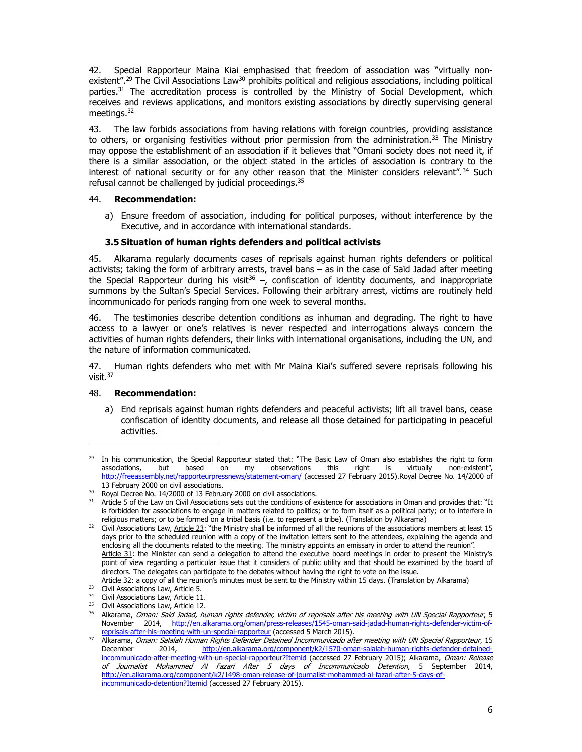42. Special Rapporteur Maina Kiai emphasised that freedom of association was "virtually nonexistent".<sup>29</sup> The Civil Associations Law<sup>30</sup> prohibits political and religious associations, including political parties.<sup>31</sup> The accreditation process is controlled by the Ministry of Social Development, which receives and reviews applications, and monitors existing associations by directly supervising general meetings. $32$ 

43. The law forbids associations from having relations with foreign countries, providing assistance to others, or organising festivities without prior permission from the administration.<sup>33</sup> The Ministry may oppose the establishment of an association if it believes that "Omani society does not need it, if there is a similar association, or the object stated in the articles of association is contrary to the interest of national security or for any other reason that the Minister considers relevant".<sup>34</sup> Such refusal cannot be challenged by judicial proceedings.<sup>35</sup>

#### 44. **Recommendation:**

a) Ensure freedom of association, including for political purposes, without interference by the Executive, and in accordance with international standards.

### **3.5 Situation of human rights defenders and political activists**

45. Alkarama regularly documents cases of reprisals against human rights defenders or political activists; taking the form of arbitrary arrests, travel bans – as in the case of Saïd Jadad after meeting the Special Rapporteur during his visit<sup>36</sup> –, confiscation of identity documents, and inappropriate summons by the Sultan's Special Services. Following their arbitrary arrest, victims are routinely held incommunicado for periods ranging from one week to several months.

46. The testimonies describe detention conditions as inhuman and degrading. The right to have access to a lawyer or one's relatives is never respected and interrogations always concern the activities of human rights defenders, their links with international organisations, including the UN, and the nature of information communicated.

47. Human rights defenders who met with Mr Maina Kiai's suffered severe reprisals following his visit. 37

### 48. **Recommendation:**

1

a) End reprisals against human rights defenders and peaceful activists; lift all travel bans, cease confiscation of identity documents, and release all those detained for participating in peaceful activities.

 $29$  In his communication, the Special Rapporteur stated that: "The Basic Law of Oman also establishes the right to form associations, but based on my observations this right is virtually non-existent", http://freeassembly.net/rapporteurpressnews/statement-oman/ (accessed 27 February 2015).Royal Decree No. 14/2000 of 13 February 2000 on civil associations.

<sup>30</sup> Royal Decree No. 14/2000 of 13 February 2000 on civil associations.

<sup>&</sup>lt;sup>31</sup> Article 5 of the Law on Civil Associations sets out the conditions of existence for associations in Oman and provides that: "It is forbidden for associations to engage in matters related to politics; or to form itself as a political party; or to interfere in religious matters; or to be formed on a tribal basis (i.e. to represent a tribe). (Translation by Alkarama)

Civil Associations Law, Article 23: "the Ministry shall be informed of all the reunions of the associations members at least 15 days prior to the scheduled reunion with a copy of the invitation letters sent to the attendees, explaining the agenda and enclosing all the documents related to the meeting. The ministry appoints an emissary in order to attend the reunion". Article 31: the Minister can send a delegation to attend the executive board meetings in order to present the Ministry's point of view regarding a particular issue that it considers of public utility and that should be examined by the board of directors. The delegates can participate to the debates without having the right to vote on the issue.

Article 32: a copy of all the reunion's minutes must be sent to the Ministry within 15 days. (Translation by Alkarama)<br>
Civil Associations Law, Article 5.

<sup>&</sup>lt;sup>34</sup> Civil Associations Law, Article 11.

<sup>&</sup>lt;sup>35</sup> Civil Associations Law, Article 12.

<sup>&</sup>lt;sup>36</sup> Alkarama, Oman: Said Jadad, human rights defender, victim of reprisals after his meeting with UN Special Rapporteur, 5 November 2014, http://en.alkarama.org/oman/press-releases/1545-oman-said-jadad-human-rights-defender-victim-ofreprisals-after-his-meeting-with-un-special-rapporteur (accessed 5 March 2015).

<sup>37</sup> Alkarama, Oman: Salalah Human Rights Defender Detained Incommunicado after meeting with UN Special Rapporteur, 15<br>December 2014, http://en.alkarama.org/component/k2/1570-oman-salalah-human-rights-defender-detained-December 2014, http://en.alkarama.org/component/k2/1570-oman-salalah-human-rights-defender-detainedincommunicado-after-meeting-with-un-special-rapporteur?Itemid (accessed 27 February 2015); Alkarama, Oman: Release of Journalist Mohammed Al Fazari After 5 days of Incommunicado Detention, 5 September 2014, http://en.alkarama.org/component/k2/1498-oman-release-of-journalist-mohammed-al-fazari-after-5-days-ofincommunicado-detention?Itemid (accessed 27 February 2015).